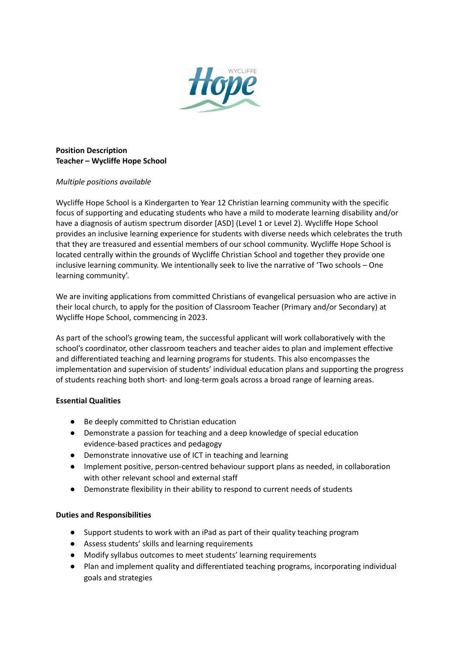

## **Position Description Teacher – Wycliffe Hope School**

## *Multiple positions available*

Wycliffe Hope School is a Kindergarten to Year 12 Christian learning community with the specific focus of supporting and educating students who have a mild to moderate learning disability and/or have a diagnosis of autism spectrum disorder [ASD] (Level 1 or Level 2). Wycliffe Hope School provides an inclusive learning experience for students with diverse needs which celebrates the truth that they are treasured and essential members of our school community. Wycliffe Hope School is located centrally within the grounds of Wycliffe Christian School and together they provide one inclusive learning community. We intentionally seek to live the narrative of 'Two schools – One learning community'.

We are inviting applications from committed Christians of evangelical persuasion who are active in their local church, to apply for the position of Classroom Teacher (Primary and/or Secondary) at Wycliffe Hope School, commencing in 2023.

As part of the school's growing team, the successful applicant will work collaboratively with the school's coordinator, other classroom teachers and teacher aides to plan and implement effective and differentiated teaching and learning programs for students. This also encompasses the implementation and supervision of students' individual education plans and supporting the progress of students reaching both short- and long-term goals across a broad range of learning areas.

## **Essential Qualities**

- Be deeply committed to Christian education
- Demonstrate a passion for teaching and a deep knowledge of special education evidence-based practices and pedagogy
- Demonstrate innovative use of ICT in teaching and learning
- Implement positive, person-centred behaviour support plans as needed, in collaboration with other relevant school and external staff
- Demonstrate flexibility in their ability to respond to current needs of students

## **Duties and Responsibilities**

- Support students to work with an iPad as part of their quality teaching program
- Assess students' skills and learning requirements
- Modify syllabus outcomes to meet students' learning requirements
- Plan and implement quality and differentiated teaching programs, incorporating individual goals and strategies